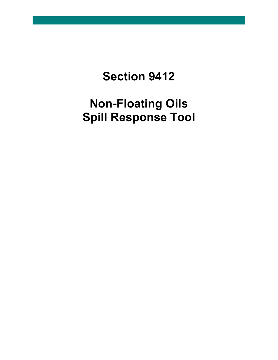### **Section 9412**

## **Non-Floating Oils Spill Response Tool**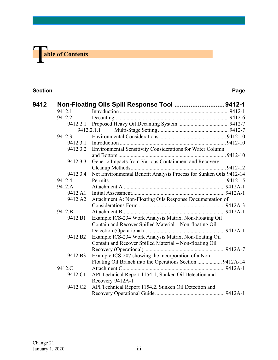# T **able of Contents**

#### **Section Page**

| 9412 |          | Non-Floating Oils Spill Response Tool  9412-1                      |  |  |
|------|----------|--------------------------------------------------------------------|--|--|
|      | 9412.1   |                                                                    |  |  |
|      | 9412.2   |                                                                    |  |  |
|      | 9412.2.1 |                                                                    |  |  |
|      |          | 9412.2.1.1                                                         |  |  |
|      | 9412.3   |                                                                    |  |  |
|      | 9412.3.1 |                                                                    |  |  |
|      | 9412.3.2 | Environmental Sensitivity Considerations for Water Column          |  |  |
|      |          |                                                                    |  |  |
|      | 9412.3.3 | Generic Impacts from Various Containment and Recovery              |  |  |
|      |          |                                                                    |  |  |
|      | 9412.3.4 | Net Environmental Benefit Analysis Process for Sunken Oils 9412-14 |  |  |
|      | 9412.4   |                                                                    |  |  |
|      | 9412.A   |                                                                    |  |  |
|      | 9412.A1  |                                                                    |  |  |
|      | 9412.A2  | Attachment A: Non-Floating Oils Response Documentation of          |  |  |
|      |          |                                                                    |  |  |
|      | 9412.B   |                                                                    |  |  |
|      | 9412.B1  | Example ICS-234 Work Analysis Matrix. Non-Floating Oil             |  |  |
|      |          | Contain and Recover Spilled Material - Non-floating Oil            |  |  |
|      |          |                                                                    |  |  |
|      | 9412.B2  | Example ICS-234 Work Analysis Matrix, Non-floating Oil             |  |  |
|      |          | Contain and Recover Spilled Material - Non-floating Oil            |  |  |
|      |          |                                                                    |  |  |
|      | 9412.B3  | Example ICS-207 showing the incorporation of a Non-                |  |  |
|      |          | Floating Oil Branch into the Operations Section  9412A-14          |  |  |
|      | 9412.C   |                                                                    |  |  |
|      | 9412.C1  | API Technical Report 1154-1, Sunken Oil Detection and              |  |  |
|      |          | Recovery 9412A-1                                                   |  |  |
|      | 9412.C2  | API Technical Report 1154.2. Sunken Oil Detection and              |  |  |
|      |          |                                                                    |  |  |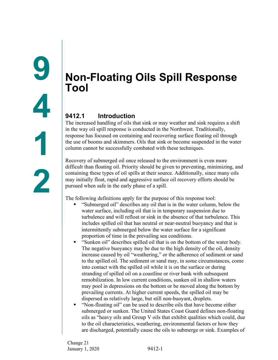### <span id="page-2-1"></span><span id="page-2-0"></span>**Non-Floating Oils Spill Response Tool**

#### <span id="page-2-2"></span>**9412.1 Introduction**

The increased handling of oils that sink or may weather and sink requires a shift in the way oil spill response is conducted in the Northwest. Traditionally, response has focused on containing and recovering surface floating oil through the use of booms and skimmers. Oils that sink or become suspended in the water column cannot be successfully combated with these techniques.

Recovery of submerged oil once released to the environment is even more difficult than floating oil. Priority should be given to preventing, minimizing, and containing these types of oil spills at their source. Additionally, since many oils may initially float, rapid and aggressive surface oil recovery efforts should be pursued when safe in the early phase of a spill.

The following definitions apply for the purpose of this response tool:

- "Submerged oil" describes any oil that is in the water column, below the water surface, including oil that is in temporary suspension due to turbulence and will refloat or sink in the absence of that turbulence. This includes spilled oil that has neutral or near-neutral buoyancy and that is intermittently submerged below the water surface for a significant proportion of time in the prevailing sea conditions.
- "Sunken oil" describes spilled oil that is on the bottom of the water body. The negative buoyancy may be due to the high density of the oil, density increase caused by oil "weathering," or the adherence of sediment or sand to the spilled oil. The sediment or sand may, in some circumstances, come into contact with the spilled oil while it is on the surface or during stranding of spilled oil on a coastline or river bank with subsequent remobilization. In low current conditions, sunken oil in shallow waters may pool in depressions on the bottom or be moved along the bottom by prevailing currents. At higher current speeds, the spilled oil may be dispersed as relatively large, but still non-buoyant, droplets.
- "Non-floating oil" can be used to describe oils that have become either submerged or sunken. The United States Coast Guard defines non-floating oils as "heavy oils and Group V oils that exhibit qualities which could, due to the oil characteristics, weathering, environmental factors or how they are discharged, potentially cause the oils to submerge or sink. Examples of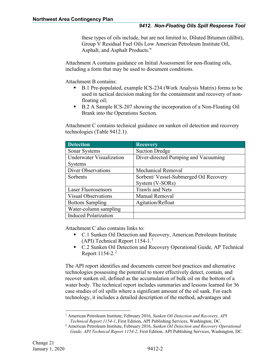these types of oils include, but are not limited to, Diluted Bitumen (dilbit), Group V Residual Fuel Oils Low American Petroleum Institute Oil, Asphalt, and Asphalt Products."

Attachment A contains guidance on Initial Assessment for non-floating oils, including a form that may be used to document conditions.

Attachment B contains:

- B.1 Pre-populated, example ICS-234 (Work Analysis Matrix) forms to be used in tactical decision making for the containment and recovery of nonfloating oil;
- B.2 A Sample ICS-207 showing the incorporation of a Non-Floating Oil Brank into the Operations Section.

Attachment C contains technical guidance on sunken oil detection and recovery technologies (Table 9412.1).

| <b>Detection</b>            | <b>Recovery</b>                        |  |  |
|-----------------------------|----------------------------------------|--|--|
| Sonar Systems               | <b>Suction Dredge</b>                  |  |  |
| Underwater Visualization    | Diver-directed Pumping and Vacuuming   |  |  |
| <b>Systems</b>              |                                        |  |  |
| <b>Diver Observations</b>   | <b>Mechanical Removal</b>              |  |  |
| Sorbents                    | Sorbent/ Vessel-Submerged Oil Recovery |  |  |
|                             | System (V-SORs)                        |  |  |
| <b>Laser Fluorosensors</b>  | <b>Trawls and Nets</b>                 |  |  |
| <b>Visual Observations</b>  | Manual Removal                         |  |  |
| <b>Bottom Sampling</b>      | Agitation/Refloat                      |  |  |
| Water-column sampling       |                                        |  |  |
| <b>Induced Polarization</b> |                                        |  |  |

Attachment C also contains links to:

- C.1 Sunken Oil Detection and Recovery, American Petroleum Institute (API) Technical Report 1154-1.[1](#page-3-0)
- C.2 Sunken Oil Detection and Recovery Operational Guide, AP Technical Report  $1154-2.<sup>2</sup>$  $1154-2.<sup>2</sup>$  $1154-2.<sup>2</sup>$

The API report identifies and documents current best practices and alternative technologies possessing the potential to more effectively detect, contain, and recover sunken oil, defined as the accumulation of bulk oil on the bottom of a water body. The technical report includes summaries and lessons learned for 36 case studies of oil spills where a significant amount of the oil sank. For each technology, it includes a detailed description of the method, advantages and

<span id="page-3-0"></span><sup>1</sup> American Petroleum Institute, February 2016, *Sunken Oil Detection and Recovery, API Technical Report 1154-1*, First Edition, API Publishing Services, Washington, DC.

<span id="page-3-1"></span><sup>2</sup> American Petroleum Institute, February 2016, *Sunken Oil Detection and Recovery Operational Guide, API Technical Report 1154-2*, First Edition, API Publishing Services, Washington, DC.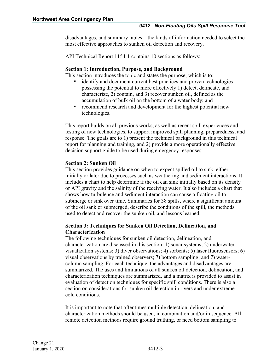disadvantages, and summary tables—the kinds of information needed to select the most effective approaches to sunken oil detection and recovery.

API Technical Report 1154-1 contains 10 sections as follows:

#### **Section 1: Introduction, Purpose, and Background**

This section introduces the topic and states the purpose, which is to:

- identify and document current best practices and proven technologies possessing the potential to more effectively 1) detect, delineate, and characterize, 2) contain, and 3) recover sunken oil, defined as the accumulation of bulk oil on the bottom of a water body; and
- **F** recommend research and development for the highest potential new technologies.

This report builds on all previous works, as well as recent spill experiences and testing of new technologies, to support improved spill planning, preparedness, and response. The goals are to 1) present the technical background in this technical report for planning and training, and 2) provide a more operationally effective decision support guide to be used during emergency responses.

#### **Section 2: Sunken Oil**

This section provides guidance on when to expect spilled oil to sink, either initially or later due to processes such as weathering and sediment interactions. It includes a chart to help determine if the oil can sink initially based on its density or API gravity and the salinity of the receiving water. It also includes a chart that shows how turbulence and sediment interaction can cause a floating oil to submerge or sink over time. Summaries for 38 spills, where a significant amount of the oil sank or submerged, describe the conditions of the spill, the methods used to detect and recover the sunken oil, and lessons learned.

#### **Section 3: Techniques for Sunken Oil Detection, Delineation, and Characterization**

The following techniques for sunken oil detection, delineation, and characterization are discussed in this section: 1) sonar systems; 2) underwater visualization systems; 3) diver observations; 4) sorbents; 5) laser fluorosensors; 6) visual observations by trained observers; 7) bottom sampling; and 7) watercolumn sampling. For each technique, the advantages and disadvantages are summarized. The uses and limitations of all sunken oil detection, delineation, and characterization techniques are summarized, and a matrix is provided to assist in evaluation of detection techniques for specific spill conditions. There is also a section on considerations for sunken oil detection in rivers and under extreme cold conditions.

It is important to note that oftentimes multiple detection, delineation, and characterization methods should be used, in combination and/or in sequence. All remote detection methods require ground truthing, or need bottom sampling to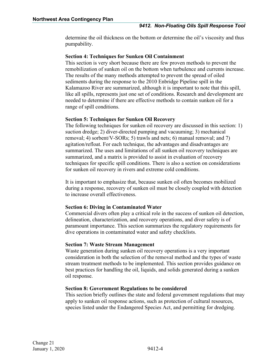determine the oil thickness on the bottom or determine the oil's viscosity and thus pumpability.

#### **Section 4: Techniques for Sunken Oil Containment**

This section is very short because there are few proven methods to prevent the remobilization of sunken oil on the bottom when turbulence and currents increase. The results of the many methods attempted to prevent the spread of oiled sediments during the response to the 2010 Enbridge Pipeline spill in the Kalamazoo River are summarized, although it is important to note that this spill, like all spills, represents just one set of conditions. Research and development are needed to determine if there are effective methods to contain sunken oil for a range of spill conditions.

#### **Section 5: Techniques for Sunken Oil Recovery**

The following techniques for sunken oil recovery are discussed in this section: 1) suction dredge; 2) diver-directed pumping and vacuuming; 3) mechanical removal; 4) sorbent/V-SORs; 5) trawls and nets; 6) manual removal; and 7) agitation/refloat. For each technique, the advantages and disadvantages are summarized. The uses and limitations of all sunken oil recovery techniques are summarized, and a matrix is provided to assist in evaluation of recovery techniques for specific spill conditions. There is also a section on considerations for sunken oil recovery in rivers and extreme cold conditions.

It is important to emphasize that, because sunken oil often becomes mobilized during a response, recovery of sunken oil must be closely coupled with detection to increase overall effectiveness.

#### **Section 6: Diving in Contaminated Water**

Commercial divers often play a critical role in the success of sunken oil detection, delineation, characterization, and recovery operations, and diver safety is of paramount importance. This section summarizes the regulatory requirements for dive operations in contaminated water and safety checklists.

#### **Section 7: Waste Stream Management**

Waste generation during sunken oil recovery operations is a very important consideration in both the selection of the removal method and the types of waste stream treatment methods to be implemented. This section provides guidance on best practices for handling the oil, liquids, and solids generated during a sunken oil response.

#### **Section 8: Government Regulations to be considered**

This section briefly outlines the state and federal government regulations that may apply to sunken oil response actions, such as protection of cultural resources, species listed under the Endangered Species Act, and permitting for dredging.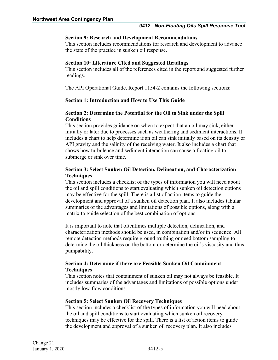#### **Section 9: Research and Development Recommendations**

This section includes recommendations for research and development to advance the state of the practice in sunken oil response.

#### **Section 10: Literature Cited and Suggested Readings**

This section includes all of the references cited in the report and suggested further readings.

The API Operational Guide, Report 1154-2 contains the following sections:

#### **Section 1: Introduction and How to Use This Guide**

#### **Section 2: Determine the Potential for the Oil to Sink under the Spill Conditions**

This section provides guidance on when to expect that an oil may sink, either initially or later due to processes such as weathering and sediment interactions. It includes a chart to help determine if an oil can sink initially based on its density or API gravity and the salinity of the receiving water. It also includes a chart that shows how turbulence and sediment interaction can cause a floating oil to submerge or sink over time.

#### **Section 3: Select Sunken Oil Detection, Delineation, and Characterization Techniques**

This section includes a checklist of the types of information you will need about the oil and spill conditions to start evaluating which sunken oil detection options may be effective for the spill. There is a list of action items to guide the development and approval of a sunken oil detection plan. It also includes tabular summaries of the advantages and limitations of possible options, along with a matrix to guide selection of the best combination of options.

It is important to note that oftentimes multiple detection, delineation, and characterization methods should be used, in combination and/or in sequence. All remote detection methods require ground truthing or need bottom sampling to determine the oil thickness on the bottom or determine the oil's viscosity and thus pumpability.

#### **Section 4: Determine if there are Feasible Sunken Oil Containment Techniques**

This section notes that containment of sunken oil may not always be feasible. It includes summaries of the advantages and limitations of possible options under mostly low-flow conditions.

#### **Section 5: Select Sunken Oil Recovery Techniques**

This section includes a checklist of the types of information you will need about the oil and spill conditions to start evaluating which sunken oil recovery techniques may be effective for the spill. There is a list of action items to guide the development and approval of a sunken oil recovery plan. It also includes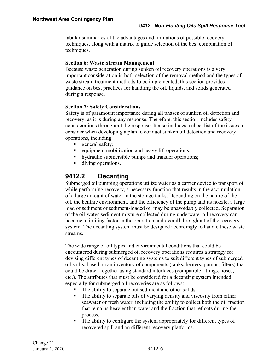tabular summaries of the advantages and limitations of possible recovery techniques, along with a matrix to guide selection of the best combination of techniques.

#### **Section 6: Waste Stream Management**

Because waste generation during sunken oil recovery operations is a very important consideration in both selection of the removal method and the types of waste stream treatment methods to be implemented, this section provides guidance on best practices for handling the oil, liquids, and solids generated during a response.

#### **Section 7: Safety Considerations**

Safety is of paramount importance during all phases of sunken oil detection and recovery, as it is during any response. Therefore, this section includes safety considerations throughout the response. It also includes a checklist of the issues to consider when developing a plan to conduct sunken oil detection and recovery operations, including:

- general safety;
- **e** equipment mobilization and heavy lift operations;
- hydraulic submersible pumps and transfer operations;
- diving operations.

#### <span id="page-7-0"></span>**9412.2 Decanting**

Submerged oil pumping operations utilize water as a carrier device to transport oil while performing recovery, a necessary function that results in the accumulation of a large amount of water in the storage tanks. Depending on the nature of the oil, the benthic environment, and the efficiency of the pump and its nozzle, a large load of sediment or sediment-loaded oil may be unavoidably collected. Separation of the oil-water-sediment mixture collected during underwater oil recovery can become a limiting factor in the operation and overall throughput of the recovery system. The decanting system must be designed accordingly to handle these waste streams.

The wide range of oil types and environmental conditions that could be encountered during submerged oil recovery operations requires a strategy for devising different types of decanting systems to suit different types of submerged oil spills, based on an inventory of components (tanks, heaters, pumps, filters) that could be drawn together using standard interfaces (compatible fittings, hoses, etc.). The attributes that must be considered for a decanting system intended especially for submerged oil recoveries are as follows:

- The ability to separate out sediment and other solids.
- The ability to separate oils of varying density and viscosity from either seawater or fresh water, including the ability to collect both the oil fraction that remains heavier than water and the fraction that refloats during the process.
- The ability to configure the system appropriately for different types of recovered spill and on different recovery platforms.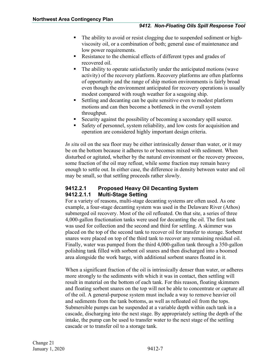- The ability to avoid or resist clogging due to suspended sediment or highviscosity oil, or a combination of both; general ease of maintenance and low power requirements.
- Resistance to the chemical effects of different types and grades of recovered oil.
- The ability to operate satisfactorily under the anticipated motions (wave activity) of the recovery platform. Recovery platforms are often platforms of opportunity and the range of ship motion environments is fairly broad even though the environment anticipated for recovery operations is usually modest compared with rough weather for a seagoing ship.
- Settling and decanting can be quite sensitive even to modest platform motions and can then become a bottleneck in the overall system throughput.
- Security against the possibility of becoming a secondary spill source.
- Safety of personnel, system reliability, and low costs for acquisition and operation are considered highly important design criteria.

*In situ* oil on the sea floor may be either intrinsically denser than water, or it may be on the bottom because it adheres to or becomes mixed with sediment. When disturbed or agitated, whether by the natural environment or the recovery process, some fraction of the oil may refloat, while some fraction may remain heavy enough to settle out. In either case, the difference in density between water and oil may be small, so that settling proceeds rather slowly.

#### <span id="page-8-1"></span><span id="page-8-0"></span>**9412.2.1 Proposed Heavy Oil Decanting System 9412.2.1.1 Multi-Stage Setting**

For a variety of reasons, multi-stage decanting systems are often used. As one example, a four-stage decanting system was used in the Delaware River (Athos) submerged oil recovery. Most of the oil refloated. On that site, a series of three 4,000-gallon fractionation tanks were used for decanting the oil. The first tank was used for collection and the second and third for settling. A skimmer was placed on the top of the second tank to recover oil for transfer to storage. Sorbent snares were placed on top of the third tank to recover any remaining residual oil. Finally, water was pumped from the third 4,000-gallon tank through a 350-gallon polishing tank filled with sorbent oil snares and then discharged into a boomed area alongside the work barge, with additional sorbent snares floated in it.

When a significant fraction of the oil is intrinsically denser than water, or adheres more strongly to the sediments with which it was in contact, then settling will result in material on the bottom of each tank. For this reason, floating skimmers and floating sorbent snares on the top will not be able to concentrate or capture all of the oil. A general-purpose system must include a way to remove heavier oil and sediments from the tank bottoms, as well as refloated oil from the tops. Submersible pumps can be suspended at a variable depth within each tank in a cascade, discharging into the next stage. By appropriately setting the depth of the intake, the pump can be used to transfer water to the next stage of the settling cascade or to transfer oil to a storage tank.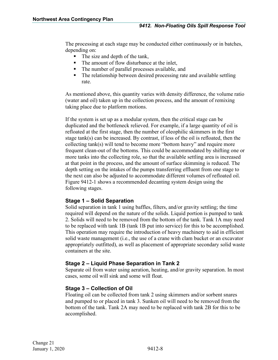The processing at each stage may be conducted either continuously or in batches, depending on:

- The size and depth of the tank,
- The amount of flow disturbance at the inlet,
- The number of parallel processes available, and
- The relationship between desired processing rate and available settling rate.

As mentioned above, this quantity varies with density difference, the volume ratio (water and oil) taken up in the collection process, and the amount of remixing taking place due to platform motions.

If the system is set up as a modular system, then the critical stage can be duplicated and the bottleneck relieved. For example, if a large quantity of oil is refloated at the first stage, then the number of oleophilic skimmers in the first stage tank(s) can be increased. By contrast, if less of the oil is refloated, then the collecting tank(s) will tend to become more "bottom heavy" and require more frequent clean-out of the bottoms. This could be accommodated by shifting one or more tanks into the collecting role, so that the available settling area is increased at that point in the process, and the amount of surface skimming is reduced. The depth setting on the intakes of the pumps transferring effluent from one stage to the next can also be adjusted to accommodate different volumes of refloated oil. Figure 9412-1 shows a recommended decanting system design using the following stages.

#### **Stage 1 – Solid Separation**

Solid separation in tank 1 using baffles, filters, and/or gravity settling; the time required will depend on the nature of the solids. Liquid portion is pumped to tank 2. Solids will need to be removed from the bottom of the tank. Tank 1A may need to be replaced with tank 1B (tank 1B put into service) for this to be accomplished. This operation may require the introduction of heavy machinery to aid in efficient solid waste management (i.e., the use of a crane with clam bucket or an excavator appropriately outfitted), as well as placement of appropriate secondary solid waste containers at the site.

#### **Stage 2 – Liquid Phase Separation in Tank 2**

Separate oil from water using aeration, heating, and/or gravity separation. In most cases, some oil will sink and some will float.

#### **Stage 3 – Collection of Oil**

Floating oil can be collected from tank 2 using skimmers and/or sorbent snares and pumped to or placed in tank 3. Sunken oil will need to be removed from the bottom of the tank. Tank 2A may need to be replaced with tank 2B for this to be accomplished.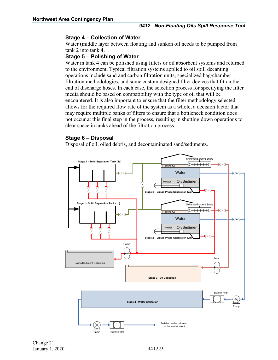#### **Stage 4 – Collection of Water**

Water (middle layer between floating and sunken oil needs to be pumped from tank 2 into tank 4.

#### **Stage 5 – Polishing of Water**

Water in tank 4 can be polished using filters or oil absorbent systems and returned to the environment. Typical filtration systems applied to oil spill decanting operations include sand and carbon filtration units, specialized bag/chamber filtration methodologies, and some custom designed filter devices that fit on the end of discharge hoses. In each case, the selection process for specifying the filter media should be based on compatibility with the type of oil that will be encountered. It is also important to ensure that the filter methodology selected allows for the required flow rate of the system as a whole, a decision factor that may require multiple banks of filters to ensure that a bottleneck condition does not occur at this final step in the process, resulting in shutting down operations to clear space in tanks ahead of the filtration process.

#### **Stage 6 – Disposal**

Disposal of oil, oiled debris, and decontaminated sand/sediments.

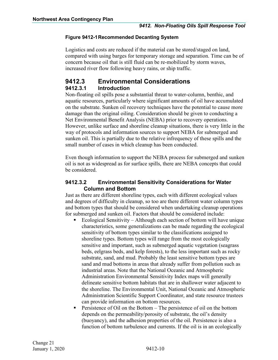#### **Figure 9412-1Recommended Decanting System**

Logistics and costs are reduced if the material can be stored/staged on land, compared with using barges for temporary storage and separation. Time can be of concern because oil that is still fluid can be re-mobilized by storm waves, increased river flow following heavy rains, or ship traffic.

#### <span id="page-11-1"></span><span id="page-11-0"></span>**9412.3 Environmental Considerations 9412.3.1 Introduction**

Non-floating oil spills pose a substantial threat to water-column, benthic, and aquatic resources, particularly where significant amounts of oil have accumulated on the substrate. Sunken oil recovery techniques have the potential to cause more damage than the original oiling. Consideration should be given to conducting a Net Environmental Benefit Analysis (NEBA) prior to recovery operations. However, unlike surface and shoreline cleanup situations, there is very little in the way of protocols and information sources to support NEBA for submerged and sunken oil. This is partially due to the relative infrequency of these spills and the small number of cases in which cleanup has been conducted.

Even though information to support the NEBA process for submerged and sunken oil is not as widespread as for surface spills, there are NEBA concepts that could be considered.

#### <span id="page-11-2"></span>**9412.3.2 Environmental Sensitivity Considerations for Water Column and Bottom**

Just as there are different shoreline types, each with different ecological values and degrees of difficulty in cleanup, so too are there different water column types and bottom types that should be considered when undertaking cleanup operations for submerged and sunken oil. Factors that should be considered include:

- Ecological Sensitivity Although each section of bottom will have unique characteristics, some generalizations can be made regarding the ecological sensitivity of bottom types similar to the classifications assigned to shoreline types. Bottom types will range from the most ecologically sensitive and important, such as submerged aquatic vegetation (seagrass beds, eelgrass beds, and kelp forests), to the less important such as rocky substrate, sand, and mud. Probably the least sensitive bottom types are sand and mud bottoms in areas that already suffer from pollution such as industrial areas. Note that the National Oceanic and Atmospheric Administration Environmental Sensitivity Index maps will generally delineate sensitive bottom habitats that are in shallower water adjacent to the shoreline. The Environmental Unit, National Oceanic and Atmospheric Administration Scientific Support Coordinator, and state resource trustees can provide information on bottom resources.
- Persistence of Oil on the Bottom The persistence of oil on the bottom depends on the permeability/porosity of substrate, the oil's density (buoyancy), and the adhesion properties of the oil. Persistence is also a function of bottom turbulence and currents. If the oil is in an ecologically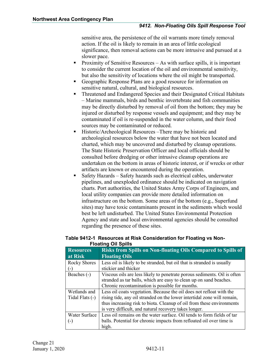sensitive area, the persistence of the oil warrants more timely removal action. If the oil is likely to remain in an area of little ecological significance, then removal actions can be more intrusive and pursued at a slower pace.

- Proximity of Sensitive Resources As with surface spills, it is important to consider the current location of the oil and environmental sensitivity, but also the sensitivity of locations where the oil might be transported.
- Geographic Response Plans are a good resource for information on sensitive natural, cultural, and biological resources.
- **Threatened and Endangered Species and their Designated Critical Habitats** – Marine mammals, birds and benthic invertebrate and fish communities may be directly disturbed by removal of oil from the bottom; they may be injured or disturbed by response vessels and equipment; and they may be contaminated if oil is re-suspended in the water column, and their food sources may be contaminated or reduced.
- Historic/Archeological Resources –There may be historic and archeological resources below the water that have not been located and charted, which may be uncovered and disturbed by cleanup operations. The State Historic Preservation Officer and local officials should be consulted before dredging or other intrusive cleanup operations are undertaken on the bottom in areas of historic interest, or if wrecks or other artifacts are known or encountered during the operation.
- Safety Hazards Safety hazards such as electrical cables, underwater pipelines, and unexploded ordinance should be indicated on navigation charts. Port authorities, the United States Army Corps of Engineers, and local utility companies can provide more detailed information on infrastructure on the bottom. Some areas of the bottom (e.g., Superfund sites) may have toxic contaminants present in the sediments which would best be left undisturbed. The United States Environmental Protection Agency and state and local environmental agencies should be consulted regarding the presence of these sites.

| <b>Fluatifiq Oil Opilis</b> |                                                                          |  |  |  |  |
|-----------------------------|--------------------------------------------------------------------------|--|--|--|--|
| <b>Resources</b>            | <b>Risks from Spills on Non-floating Oils Compared to Spills of</b>      |  |  |  |  |
| at Risk                     | <b>Floating Oils</b>                                                     |  |  |  |  |
| <b>Rocky Shores</b>         | Less oil is likely to be stranded, but oil that is stranded is usually   |  |  |  |  |
| $\left( -\right)$           | stickier and thicker                                                     |  |  |  |  |
| Beaches (-)                 | Viscous oils are less likely to penetrate porous sediments. Oil is often |  |  |  |  |
|                             | stranded as tar balls, which are easy to clean up on sand beaches.       |  |  |  |  |
|                             | Chronic recontamination is possible for months.                          |  |  |  |  |
| Wetlands and                | Less oil coats vegetation. Because the oil does not refloat with the     |  |  |  |  |
| Tidal Flats (-)             | rising tide, any oil stranded on the lower intertidal zone will remain,  |  |  |  |  |
|                             | thus increasing risk to biota. Cleanup of oil from these environments    |  |  |  |  |
|                             | is very difficult, and natural recovery takes longer.                    |  |  |  |  |
| <b>Water Surface</b>        | Less oil remains on the water surface. Oil tends to form fields of tar   |  |  |  |  |
| $\left( -\right)$           | balls. Potential for chronic impacts from refloated oil over time is     |  |  |  |  |
|                             | high.                                                                    |  |  |  |  |

#### **Table 9412-1 Resources at Risk Consideration for Floating vs Non-Floating Oil Spills**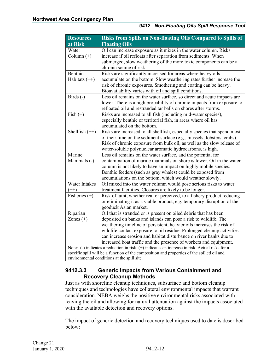| <b>Resources</b>                                                                               | Risks from Spills on Non-floating Oils Compared to Spills of                               |  |  |  |  |  |
|------------------------------------------------------------------------------------------------|--------------------------------------------------------------------------------------------|--|--|--|--|--|
| at Risk                                                                                        | <b>Floating Oils</b>                                                                       |  |  |  |  |  |
| Water                                                                                          | Oil can increase exposure as it mixes in the water column. Risks                           |  |  |  |  |  |
| Column $(+)$                                                                                   | increase if oil refloats after separation from sediments. When                             |  |  |  |  |  |
|                                                                                                | submerged, slow weathering of the more toxic components can be a                           |  |  |  |  |  |
|                                                                                                | chronic source of risk.                                                                    |  |  |  |  |  |
| Benthic                                                                                        | Risks are significantly increased for areas where heavy oils                               |  |  |  |  |  |
| Habitats (++)                                                                                  | accumulate on the bottom. Slow weathering rates further increase the                       |  |  |  |  |  |
|                                                                                                | risk of chronic exposures. Smothering and coating can be heavy.                            |  |  |  |  |  |
|                                                                                                | Bioavailability varies with oil and spill conditions.                                      |  |  |  |  |  |
| Birds (-)                                                                                      | Less oil remains on the water surface, so direct and acute impacts are                     |  |  |  |  |  |
|                                                                                                | lower. There is a high probability of chronic impacts from exposure to                     |  |  |  |  |  |
|                                                                                                | refloated oil and restranded tar balls on shores after storms.                             |  |  |  |  |  |
| Fish $(+)$                                                                                     | Risks are increased to all fish (including mid-water species),                             |  |  |  |  |  |
|                                                                                                | especially benthic or territorial fish, in areas where oil has                             |  |  |  |  |  |
|                                                                                                | accumulated on the bottom.                                                                 |  |  |  |  |  |
| Shellfish $(++)$                                                                               | Risks are increased to all shellfish, especially species that spend most                   |  |  |  |  |  |
|                                                                                                | of their time on the sediment surface (e.g., mussels, lobsters, crabs).                    |  |  |  |  |  |
|                                                                                                | Risk of chronic exposure from bulk oil, as well as the slow release of                     |  |  |  |  |  |
|                                                                                                | water-soluble polynuclear aromatic hydrocarbons, is high.                                  |  |  |  |  |  |
| Marine                                                                                         | Less oil remains on the water surface, and the potential for                               |  |  |  |  |  |
| Mammals (-)                                                                                    | contamination of marine mammals on shore is lower. Oil in the water                        |  |  |  |  |  |
|                                                                                                | column is not likely to have an impact on highly mobile species.                           |  |  |  |  |  |
|                                                                                                | Benthic feeders (such as gray whales) could be exposed from                                |  |  |  |  |  |
|                                                                                                | accumulations on the bottom, which would weather slowly.                                   |  |  |  |  |  |
| <b>Water Intakes</b>                                                                           | Oil mixed into the water column would pose serious risks to water                          |  |  |  |  |  |
| $(++)$                                                                                         | treatment facilities. Closures are likely to be longer.                                    |  |  |  |  |  |
| Fisheries $(+)$                                                                                | Risk of taint, whether real or perceived, to a fishery product reducing                    |  |  |  |  |  |
|                                                                                                | or eliminating it as a viable product, e.g. temporary disruption of the                    |  |  |  |  |  |
|                                                                                                | geoduck Asian market.                                                                      |  |  |  |  |  |
| Riparian                                                                                       | Oil that is stranded or is present on oiled debris that has been                           |  |  |  |  |  |
| Zones $(+)$                                                                                    | deposited on banks and islands can pose a risk to wildlife. The                            |  |  |  |  |  |
|                                                                                                | weathering timeline of persistent, heavier oils increases the risk of                      |  |  |  |  |  |
|                                                                                                | wildlife contact exposure to oil residue. Prolonged cleanup activities                     |  |  |  |  |  |
|                                                                                                | can increase erosion and habitat disturbance on river banks due to                         |  |  |  |  |  |
|                                                                                                | increased boat traffic and the presence of workers and equipment.                          |  |  |  |  |  |
| Note: (-) indicates a reduction in risk. (+) indicates an increase in risk. Actual risks for a |                                                                                            |  |  |  |  |  |
|                                                                                                | specific spill will be a function of the composition and properties of the spilled oil and |  |  |  |  |  |
| environmental conditions at the spill site.                                                    |                                                                                            |  |  |  |  |  |

#### <span id="page-13-0"></span>**9412.3.3 Generic Impacts from Various Containment and Recovery Cleanup Methods**

Just as with shoreline cleanup techniques, subsurface and bottom cleanup techniques and technologies have collateral environmental impacts that warrant consideration. NEBA weighs the positive environmental risks associated with leaving the oil and allowing for natural attenuation against the impacts associated with the available detection and recovery options.

The impact of generic detection and recovery techniques used to date is described below: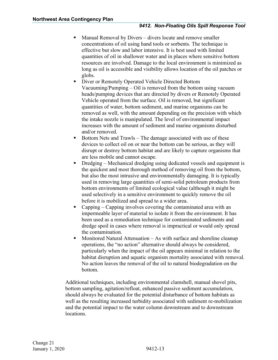- Manual Removal by Divers divers locate and remove smaller concentrations of oil using hand tools or sorbents. The technique is effective but slow and labor intensive. It is best used with limited quantities of oil in shallower water and in places where sensitive bottom resources are involved. Damage to the local environment is minimized as long as oil is accessible and visibility allows location of the oil patches or globs.
- Diver or Remotely Operated Vehicle Directed Bottom Vacuuming/Pumping – Oil is removed from the bottom using vacuum heads/pumping devices that are directed by divers or Remotely Operated Vehicle operated from the surface. Oil is removed, but significant quantities of water, bottom sediment, and marine organisms can be removed as well, with the amount depending on the precision with which the intake nozzle is manipulated. The level of environmental impact increases with the amount of sediment and marine organisms disturbed and/or removed.
- Bottom Nets and Trawls The damage associated with use of these devices to collect oil on or near the bottom can be serious, as they will disrupt or destroy bottom habitat and are likely to capture organisms that are less mobile and cannot escape.
- Dredging Mechanical dredging using dedicated vessels and equipment is the quickest and most thorough method of removing oil from the bottom, but also the most intrusive and environmentally damaging. It is typically used in removing large quantities of semi-solid petroleum products from bottom environments of limited ecological value (although it might be used selectively in a sensitive environment to quickly remove the oil before it is mobilized and spread to a wider area.
- Capping Capping involves covering the contaminated area with an impermeable layer of material to isolate it from the environment. It has been used as a remediation technique for contaminated sediments and dredge spoil in cases where removal is impractical or would only spread the contamination.
- $\blacksquare$  Monitored Natural Attenuation As with surface and shoreline cleanup operations, the "no action" alternative should always be considered, particularly when the impact of the oil appears minimal in relation to the habitat disruption and aquatic organism mortality associated with removal. No action leaves the removal of the oil to natural biodegradation on the bottom.

Additional techniques, including environmental clamshell, manual shovel pits, bottom sampling, agitation/refloat, enhanced passive sediment accumulation, should always be evaluated for the potential disturbance of bottom habitats as well as the resulting increased turbidity associated with sediment re-mobilization and the potential impact to the water column downstream and to downstream locations.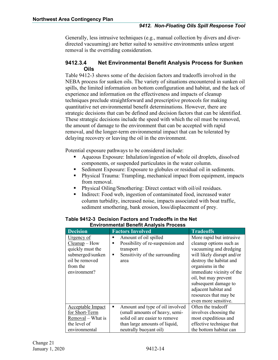Generally, less intrusive techniques (e.g., manual collection by divers and diverdirected vacuuming) are better suited to sensitive environments unless urgent removal is the overriding consideration.

#### <span id="page-15-0"></span>**9412.3.4 Net Environmental Benefit Analysis Process for Sunken Oils**

Table 9412-3 shows some of the decision factors and tradeoffs involved in the NEBA process for sunken oils. The variety of situations encountered in sunken oil spills, the limited information on bottom configuration and habitat, and the lack of experience and information on the effectiveness and impacts of cleanup techniques preclude straightforward and prescriptive protocols for making quantitative net environmental benefit determinations. However, there are strategic decisions that can be defined and decision factors that can be identified. These strategic decisions include the speed with which the oil must be removed, the amount of damage to the environment that can be accepted with rapid removal, and the longer-term environmental impact that can be tolerated by delaying recovery or leaving the oil in the environment.

Potential exposure pathways to be considered include:

- Aqueous Exposure: Inhalation/ingestion of whole oil droplets, dissolved components, or suspended particulates in the water column.
- Sediment Exposure: Exposure to globules or residual oil in sediments.
- Physical Trauma: Trampling, mechanical impact from equipment, impacts from removal.
- Physical Oiling/Smothering: Direct contact with oil/oil residues.
- Indirect: Food web, ingestion of contaminated food, increased water column turbidity, increased noise, impacts associated with boat traffic, sediment smothering, bank erosion, loss/displacement of prey.

| <b>Decision</b>   | <b>Factors Involved</b>               | <b>Tradeoffs</b>           |
|-------------------|---------------------------------------|----------------------------|
| Urgency of        | Amount of oil spilled<br>■            | More rapid but intrusive   |
| $Cleanup$ – How   | Possibility of re-suspension and<br>п | cleanup options such as    |
| quickly must the  | transport                             | vacuuming and dredging     |
| submerged/sunken  | Sensitivity of the surrounding<br>٠   | will likely disrupt and/or |
| oil be removed    | area                                  | destroy the habitat and    |
| from the          |                                       | organisms in the           |
| environment?      |                                       | immediate vicinity of the  |
|                   |                                       | oil, but may prevent       |
|                   |                                       | subsequent damage to       |
|                   |                                       | adjacent habitat and       |
|                   |                                       | resources that may be      |
|                   |                                       | even more sensitive.       |
| Acceptable Impact | Amount and type of oil involved<br>п  | Often the tradeoff         |
| for Short-Term    | (small amounts of heavy, semi-        | involves choosing the      |
| Removal - What is | solid oil are easier to remove        | most expeditious and       |
| the level of      | than large amounts of liquid,         | effective technique that   |
| environmental     | neutrally buoyant oil)                | the bottom habitat can     |

#### **Table 9412-3 Decision Factors and Tradeoffs in the Net Environmental Benefit Analysis Process**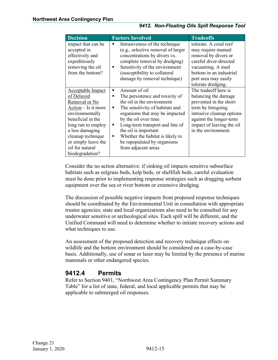| <b>Decision</b>          | <b>Factors Involved</b>               | <b>Tradeoffs</b>          |
|--------------------------|---------------------------------------|---------------------------|
| impact that can be       | Intrusiveness of the technique        | tolerate. A coral reef    |
| accepted in              | (e.g., selective removal of larger    | may require manual        |
| effectively and          | concentrations by divers vs.          | removal by divers or      |
| expeditiously            | complete removal by dredging)         | careful diver-directed    |
| removing the oil         | Sensitivity of the environment<br>٠   | vacuuming. A mud          |
| from the bottom?         | (susceptibility to collateral         | bottom in an industrial   |
|                          | damage by removal technique)          | port area may easily      |
|                          |                                       | tolerate dredging.        |
| <b>Acceptable Impact</b> | Amount of oil<br>■                    | The tradeoff here is      |
| of Delayed               | The persistence and toxicity of<br>п  | balancing the damage      |
| Removal or No            | the oil in the environment            | prevented in the short-   |
| $Action - Is it more$    | The sensitivity of habitats and<br>п  | term by foregoing         |
| environmentally          | organisms that may be impacted        | intrusive cleanup options |
| beneficial in the        | by the oil over time                  | against the longer-term   |
| long run to employ       | Long-term transport and fate of<br>٠  | impact of leaving the oil |
| a less damaging          | the oil is important                  | in the environment.       |
| cleanup technique        | Whether the habitat is likely to<br>■ |                           |
| or simply leave the      | be repopulated by organisms           |                           |
| oil for natural          | from adjacent areas                   |                           |
| biodegradation?          |                                       |                           |

Consider the no action alternative: if sinking oil impacts sensitive subsurface habitats such as eelgrass beds, kelp beds, or shellfish beds, careful evaluation must be done prior to implementing response strategies such as dragging sorbent equipment over the sea or river bottom or extensive dredging.

The discussion of possible negative impacts from proposed response techniques should be coordinated by the Environmental Unit in consultation with appropriate trustee agencies; state and local organizations also need to be consulted for any underwater sensitive or archeological sites. Each spill will be different, and the Unified Command will need to determine whether to initiate recovery actions and what techniques to use.

An assessment of the proposed detection and recovery technique effects on wildlife and the bottom environment should be considered on a case-by-case basis. Additionally, use of sonar or laser may be limited by the presence of marine mammals or other endangered species.

#### <span id="page-16-0"></span>**9412.4 Permits**

Refer to Section 9401, "Northwest Area Contingency Plan Permit Summary Table" for a list of state, federal, and local applicable permits that may be applicable to submerged oil responses.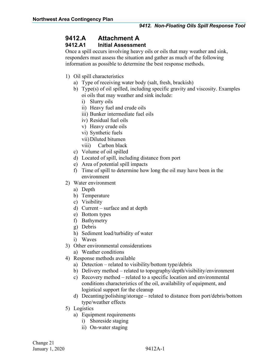### <span id="page-17-0"></span>**9412.A Attachment A**

#### <span id="page-17-1"></span>**9412.A1 Initial Assessment**

Once a spill occurs involving heavy oils or oils that may weather and sink, responders must assess the situation and gather as much of the following information as possible to determine the best response methods.

- 1) Oil spill characteristics
	- a) Type of receiving water body (salt, fresh, brackish)
	- b) Type(s) of oil spilled, including specific gravity and viscosity. Examples oi oils that may weather and sink include:
		- i) Slurry oils
		- ii) Heavy fuel and crude oils
		- iii) Bunker intermediate fuel oils
		- iv) Residual fuel oils
		- v) Heavy crude oils
		- vi) Synthetic fuels
		- vii)Diluted bitumen
		- viii) Carbon black
	- c) Volume of oil spilled
	- d) Located of spill, including distance from port
	- e) Area of potential spill impacts
	- f) Time of spill to determine how long the oil may have been in the environment
- 2) Water environment
	- a) Depth
	- b) Temperature
	- c) Visibility
	- d) Current surface and at depth
	- e) Bottom types
	- f) Bathymetry
	- g) Debris
	- h) Sediment load/turbidity of water
	- i) Waves
- 3) Other environmental considerations
	- a) Weather conditions
- 4) Response methods available
	- a) Detection related to visibility/bottom type/debris
	- b) Delivery method related to topography/depth/visibility/environment
	- c) Recovery method related to a specific location and environmental conditions characteristics of the oil, availability of equipment, and logistical support for the cleanup
	- d) Decanting/polishing/storage related to distance from port/debris/bottom type/weather effects
- 5) Logistics
	- a) Equipment requirements
		- i) Shoreside staging
		- ii) On-water staging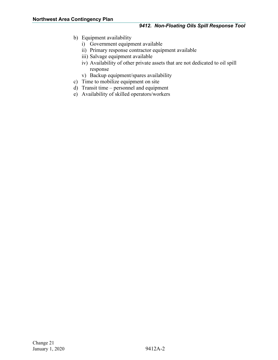- b) Equipment availability
	- i) Government equipment available
	- ii) Primary response contractor equipment available
	- iii) Salvage equipment available
	- iv) Availability of other private assets that are not dedicated to oil spill response
	- v) Backup equipment/spares availability
- c) Time to mobilize equipment on site
- d) Transit time personnel and equipment
- e) Availability of skilled operators/workers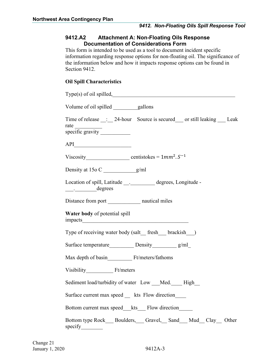#### <span id="page-19-0"></span>**9412.A2 Attachment A: Non-Floating Oils Response Documentation of Considerations Form**

This form is intended to be used as a tool to document incident specific information regarding response options for non-floating oil. The significance of the information below and how it impacts response options can be found in Section 9412.

#### **Oil Spill Characteristics**

| Volume of oil spilled _________gallons                                                                                                                                                                                                                                                                                                                                                                                                                                                                                                                                                        |
|-----------------------------------------------------------------------------------------------------------------------------------------------------------------------------------------------------------------------------------------------------------------------------------------------------------------------------------------------------------------------------------------------------------------------------------------------------------------------------------------------------------------------------------------------------------------------------------------------|
| Time of release : 24-hour Source is secured or still leaking Leak                                                                                                                                                                                                                                                                                                                                                                                                                                                                                                                             |
| $\bf API \underline{\color{red}{\bf \color{green}{\bf \color{green}{\bf \color{green}{\bf \color{green}{\bf \color{green}{\bf \color{green}{\bf \color{green}{\bf \color{green}{\bf \color{green}{\bf \color{green}{\bf \color{green}{\bf \color{green}{\bf \color{green}{\bf \color{green}{\bf \color{green}{\bf \color{green}{\bf \color{green}{\bf \color{green}{\bf \color{green}{\bf \color{green}{\bf \color{green}{\bf \color{green}{\bf \color{green}{\bf \color{green}{\bf \color{green}{\bf \color{green}{\bf \color{green}{\bf \color{green}{\bf \color{green}{\bf \color{green}{$ |
| Viscosity entistokes = $1mm^2.S^{-1}$                                                                                                                                                                                                                                                                                                                                                                                                                                                                                                                                                         |
| Density at 150 C _____________g/ml                                                                                                                                                                                                                                                                                                                                                                                                                                                                                                                                                            |
| Location of spill, Latitude ____________ degrees, Longitude -<br>______________degrees                                                                                                                                                                                                                                                                                                                                                                                                                                                                                                        |
| Distance from port ________________ nautical miles                                                                                                                                                                                                                                                                                                                                                                                                                                                                                                                                            |
| Water body of potential spill                                                                                                                                                                                                                                                                                                                                                                                                                                                                                                                                                                 |
| Type of receiving water body (salt_fresh_brackish_)                                                                                                                                                                                                                                                                                                                                                                                                                                                                                                                                           |
|                                                                                                                                                                                                                                                                                                                                                                                                                                                                                                                                                                                               |
| Max depth of basin Ft/meters/fathoms                                                                                                                                                                                                                                                                                                                                                                                                                                                                                                                                                          |
|                                                                                                                                                                                                                                                                                                                                                                                                                                                                                                                                                                                               |
| Sediment load/turbidity of water Low Med. High                                                                                                                                                                                                                                                                                                                                                                                                                                                                                                                                                |
| Surface current max speed _ kts Flow direction                                                                                                                                                                                                                                                                                                                                                                                                                                                                                                                                                |
| Bottom current max speed_kts_Flow direction                                                                                                                                                                                                                                                                                                                                                                                                                                                                                                                                                   |
| Bottom type Rock___ Boulders,___ Gravel,__ Sand___ Mud__ Clay__ Other                                                                                                                                                                                                                                                                                                                                                                                                                                                                                                                         |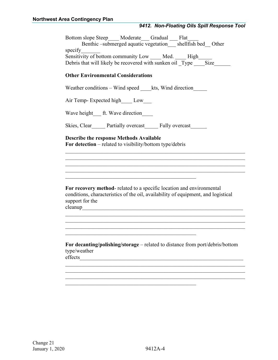#### *9412. Non-Floating Oils Spill Response Tool*

| Bottom slope Steep____ Moderate___ Gradual ___ Flat__<br>Benthic-submerged aquatic vegetation_shellfish bed_ Other<br>specify<br>Sensitivity of bottom community Low ____ Med. ____ High |  |  |  |  |  |
|------------------------------------------------------------------------------------------------------------------------------------------------------------------------------------------|--|--|--|--|--|
| Debris that will likely be recovered with sunken oil _Type _____Size____                                                                                                                 |  |  |  |  |  |
| <b>Other Environmental Considerations</b>                                                                                                                                                |  |  |  |  |  |
| Weather conditions – Wind speed kts, Wind direction                                                                                                                                      |  |  |  |  |  |
| Air Temp-Expected high Low                                                                                                                                                               |  |  |  |  |  |
| Wave height_ft. Wave direction____                                                                                                                                                       |  |  |  |  |  |
| Skies, Clear_____ Partially overcast_____ Fully overcast_____                                                                                                                            |  |  |  |  |  |
| <b>Describe the response Methods Available</b><br>For detection – related to visibility/bottom type/debris                                                                               |  |  |  |  |  |
|                                                                                                                                                                                          |  |  |  |  |  |
|                                                                                                                                                                                          |  |  |  |  |  |
| For recovery method- related to a specific location and environmental<br>conditions, characteristics of the oil, availability of equipment, and logistical<br>support for the            |  |  |  |  |  |
|                                                                                                                                                                                          |  |  |  |  |  |
| For decanting/polishing/storage – related to distance from port/debris/bottom<br>type/weather<br>effects                                                                                 |  |  |  |  |  |
|                                                                                                                                                                                          |  |  |  |  |  |
|                                                                                                                                                                                          |  |  |  |  |  |
|                                                                                                                                                                                          |  |  |  |  |  |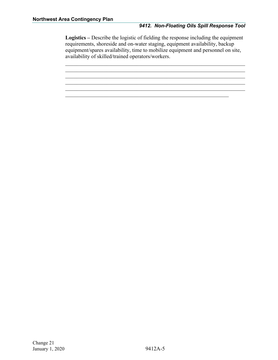#### *9412. Non-Floating Oils Spill Response Tool*

**Logistics –** Describe the logistic of fielding the response including the equipment requirements, shoreside and on-water staging, equipment availability, backup equipment/spares availability, time to mobilize equipment and personnel on site, availability of skilled/trained operators/workers.

 $\mathcal{L}_\text{G}$ 

 $\mathcal{L}_\text{G}$ 

 $\mathcal{L}_\text{G}$  , and the set of the set of the set of the set of the set of the set of the set of the set of the set of the set of the set of the set of the set of the set of the set of the set of the set of the set of the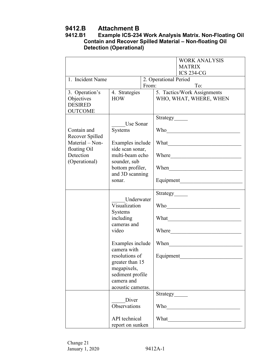### <span id="page-22-0"></span>**9412.B Attachment B**

#### <span id="page-22-1"></span>**9412.B1 Example ICS-234 Work Analysis Matrix. Non-Floating Oil Contain and Recover Spilled Material – Non-floating Oil Detection (Operational)**

|                  |                                 |       |                       | <b>WORK ANALYSIS</b>                                                                                                                                                                                                                 |
|------------------|---------------------------------|-------|-----------------------|--------------------------------------------------------------------------------------------------------------------------------------------------------------------------------------------------------------------------------------|
|                  |                                 |       |                       | <b>MATRIX</b>                                                                                                                                                                                                                        |
|                  |                                 |       |                       | <b>ICS 234-CG</b>                                                                                                                                                                                                                    |
| 1. Incident Name |                                 |       | 2. Operational Period |                                                                                                                                                                                                                                      |
|                  |                                 | From: |                       | To:                                                                                                                                                                                                                                  |
| 3. Operation's   | 4. Strategies                   |       |                       | 5. Tactics/Work Assignments                                                                                                                                                                                                          |
| Objectives       | <b>HOW</b>                      |       |                       | WHO, WHAT, WHERE, WHEN                                                                                                                                                                                                               |
| <b>DESIRED</b>   |                                 |       |                       |                                                                                                                                                                                                                                      |
| <b>OUTCOME</b>   |                                 |       |                       |                                                                                                                                                                                                                                      |
|                  | Use Sonar                       |       | Strategy              |                                                                                                                                                                                                                                      |
| Contain and      | Systems                         |       |                       |                                                                                                                                                                                                                                      |
| Recover Spilled  |                                 |       |                       |                                                                                                                                                                                                                                      |
| Material - Non-  | Examples include                |       |                       |                                                                                                                                                                                                                                      |
| floating Oil     | side scan sonar,                |       |                       |                                                                                                                                                                                                                                      |
| Detection        | multi-beam echo                 |       | Where                 | <u> 1989 - Johann Barbara, martxa amerikan personal (h. 1989).</u>                                                                                                                                                                   |
| (Operational)    | sounder, sub                    |       |                       |                                                                                                                                                                                                                                      |
|                  | bottom profiler,                |       |                       | When <u>the contract of the state of the state of the state of the state of the state of the state of the state of the state of the state of the state of the state of the state of the state of the state of the state of the s</u> |
|                  | and 3D scanning                 |       |                       |                                                                                                                                                                                                                                      |
|                  | sonar.                          |       |                       |                                                                                                                                                                                                                                      |
|                  |                                 |       | Strategy              |                                                                                                                                                                                                                                      |
|                  | Underwater                      |       |                       |                                                                                                                                                                                                                                      |
|                  | Visualization                   |       |                       |                                                                                                                                                                                                                                      |
|                  | Systems                         |       |                       |                                                                                                                                                                                                                                      |
|                  | including                       |       |                       |                                                                                                                                                                                                                                      |
|                  | cameras and                     |       |                       |                                                                                                                                                                                                                                      |
|                  | video                           |       |                       |                                                                                                                                                                                                                                      |
|                  |                                 |       |                       |                                                                                                                                                                                                                                      |
|                  | Examples include<br>camera with |       |                       | When                                                                                                                                                                                                                                 |
|                  | resolutions of                  |       | Equipment             |                                                                                                                                                                                                                                      |
|                  | greater than 15                 |       |                       |                                                                                                                                                                                                                                      |
|                  | megapixels,                     |       |                       |                                                                                                                                                                                                                                      |
|                  | sediment profile                |       |                       |                                                                                                                                                                                                                                      |
|                  | camera and                      |       |                       |                                                                                                                                                                                                                                      |
|                  | acoustic cameras.               |       |                       |                                                                                                                                                                                                                                      |
|                  |                                 |       | Strategy              |                                                                                                                                                                                                                                      |
|                  | Diver                           |       |                       |                                                                                                                                                                                                                                      |
|                  | Observations                    |       | Who                   |                                                                                                                                                                                                                                      |
|                  | API technical                   |       | What                  |                                                                                                                                                                                                                                      |
|                  |                                 |       |                       |                                                                                                                                                                                                                                      |
|                  | report on sunken                |       |                       |                                                                                                                                                                                                                                      |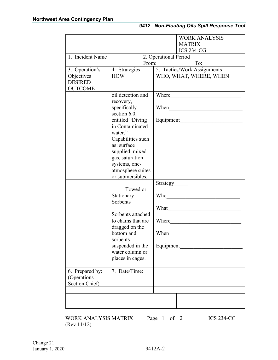|                                                                               |                                                                                                                                                                                                                                  |       |                                           | <b>WORK ANALYSIS</b><br><b>MATRIX</b><br><b>ICS 234-CG</b>   |
|-------------------------------------------------------------------------------|----------------------------------------------------------------------------------------------------------------------------------------------------------------------------------------------------------------------------------|-------|-------------------------------------------|--------------------------------------------------------------|
| 1. Incident Name                                                              |                                                                                                                                                                                                                                  |       | 2. Operational Period                     |                                                              |
| 3. Operation's<br>4. Strategies<br>Objectives<br><b>HOW</b><br><b>DESIRED</b> |                                                                                                                                                                                                                                  | From: |                                           | To:<br>5. Tactics/Work Assignments<br>WHO, WHAT, WHERE, WHEN |
| <b>OUTCOME</b>                                                                | oil detection and<br>recovery,<br>specifically<br>section 6.0,<br>entitled "Diving<br>in Contaminated<br>water."<br>Capabilities such<br>as: surface<br>supplied, mixed<br>gas, saturation<br>systems, one-<br>atmosphere suites |       | Where<br>When<br>Equipment                |                                                              |
|                                                                               | or submersibles.<br>Towed or<br>Stationary<br>Sorbents<br>Sorbents attached<br>to chains that are<br>dragged on the<br>bottom and<br>sorbents<br>suspended in the<br>water column or<br>places in cages.                         |       | Who<br>What<br>Where<br>When<br>Equipment |                                                              |
| 6. Prepared by:<br>(Operations<br>Section Chief)                              | 7. Date/Time:                                                                                                                                                                                                                    |       |                                           |                                                              |
|                                                                               |                                                                                                                                                                                                                                  |       |                                           |                                                              |

WORK ANALYSIS MATRIX Page  $1$  of  $2$  ICS 234-CG (Rev 11/12)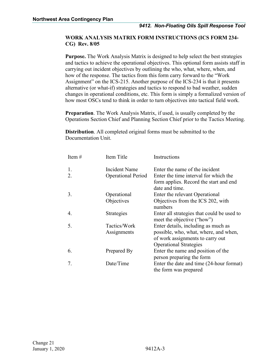#### **WORK ANALYSIS MATRIX FORM INSTRUCTIONS (ICS FORM 234- CG) Rev. 8/05**

**Purpose.** The Work Analysis Matrix is designed to help select the best strategies and tactics to achieve the operational objectives. This optional form assists staff in carrying out incident objectives by outlining the who, what, where, when, and how of the response. The tactics from this form carry forward to the "Work Assignment" on the ICS-215. Another purpose of the ICS-234 is that it presents alternative (or what-if) strategies and tactics to respond to bad weather, sudden changes in operational conditions, etc. This form is simply a formalized version of how most OSCs tend to think in order to turn objectives into tactical field work.

**Preparation**. The Work Analysis Matrix, if used, is usually completed by the Operations Section Chief and Planning Section Chief prior to the Tactics Meeting.

**Distribution**. All completed original forms must be submitted to the Documentation Unit.

| Item $#$ | Item Title                | Instructions                                                             |
|----------|---------------------------|--------------------------------------------------------------------------|
| 1.       | Incident Name             | Enter the name of the incident                                           |
| 2.       | <b>Operational Period</b> | Enter the time interval for which the                                    |
|          |                           | form applies. Record the start and end<br>date and time.                 |
| 3.       | Operational               | Enter the relevant Operational                                           |
|          | Objectives                | Objectives from the ICS 202, with<br>numbers                             |
| 4.       | Strategies                | Enter all strategies that could be used to<br>meet the objective ("how") |
| 5.       | Tactics/Work              | Enter details, including as much as                                      |
|          | Assignments               | possible, who, what, where, and when,                                    |
|          |                           | of work assignments to carry out                                         |
|          |                           | <b>Operational Strategies</b>                                            |
| 6.       | Prepared By               | Enter the name and position of the<br>person preparing the form          |
| 7.       | Date/Time                 | Enter the date and time (24-hour format)                                 |
|          |                           | the form was prepared                                                    |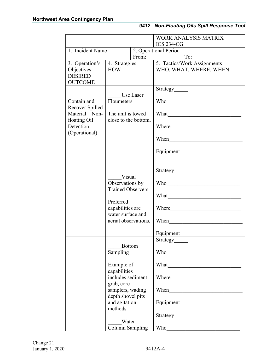|                                  |                                                                                                                                                                  |                                                                                                                                                                                                                                      | <b>WORK ANALYSIS MATRIX</b>                                                                                                                                                                                                    |
|----------------------------------|------------------------------------------------------------------------------------------------------------------------------------------------------------------|--------------------------------------------------------------------------------------------------------------------------------------------------------------------------------------------------------------------------------------|--------------------------------------------------------------------------------------------------------------------------------------------------------------------------------------------------------------------------------|
|                                  |                                                                                                                                                                  |                                                                                                                                                                                                                                      | <b>ICS 234-CG</b>                                                                                                                                                                                                              |
| 1. Incident Name                 |                                                                                                                                                                  |                                                                                                                                                                                                                                      | 2. Operational Period                                                                                                                                                                                                          |
|                                  |                                                                                                                                                                  | From:                                                                                                                                                                                                                                | To:                                                                                                                                                                                                                            |
| 3. Operation's                   | 4. Strategies                                                                                                                                                    |                                                                                                                                                                                                                                      | 5. Tactics/Work Assignments                                                                                                                                                                                                    |
| Objectives                       | <b>HOW</b>                                                                                                                                                       |                                                                                                                                                                                                                                      | WHO, WHAT, WHERE, WHEN                                                                                                                                                                                                         |
| <b>DESIRED</b><br><b>OUTCOME</b> |                                                                                                                                                                  |                                                                                                                                                                                                                                      |                                                                                                                                                                                                                                |
|                                  |                                                                                                                                                                  |                                                                                                                                                                                                                                      | Strategy                                                                                                                                                                                                                       |
|                                  |                                                                                                                                                                  | Use Laser                                                                                                                                                                                                                            |                                                                                                                                                                                                                                |
| Contain and                      | Floumeters                                                                                                                                                       |                                                                                                                                                                                                                                      | Who                                                                                                                                                                                                                            |
| Recover Spilled                  |                                                                                                                                                                  |                                                                                                                                                                                                                                      |                                                                                                                                                                                                                                |
| Material – Non-                  | The unit is towed                                                                                                                                                |                                                                                                                                                                                                                                      | What we have a series of the series of the series of the series of the series of the series of the series of the series of the series of the series of the series of the series of the series of the series of the series of t |
| floating Oil                     | close to the bottom.                                                                                                                                             |                                                                                                                                                                                                                                      |                                                                                                                                                                                                                                |
| Detection                        |                                                                                                                                                                  |                                                                                                                                                                                                                                      | Where<br><u> 1990 - Johann Barbara, martin amerikan basa</u>                                                                                                                                                                   |
| (Operational)                    |                                                                                                                                                                  |                                                                                                                                                                                                                                      |                                                                                                                                                                                                                                |
|                                  |                                                                                                                                                                  |                                                                                                                                                                                                                                      | When <u>Improvement</u>                                                                                                                                                                                                        |
|                                  |                                                                                                                                                                  |                                                                                                                                                                                                                                      |                                                                                                                                                                                                                                |
|                                  |                                                                                                                                                                  |                                                                                                                                                                                                                                      |                                                                                                                                                                                                                                |
|                                  |                                                                                                                                                                  |                                                                                                                                                                                                                                      |                                                                                                                                                                                                                                |
|                                  |                                                                                                                                                                  |                                                                                                                                                                                                                                      | Strategy                                                                                                                                                                                                                       |
|                                  | Visual<br>Observations by<br><b>Trained Observers</b>                                                                                                            |                                                                                                                                                                                                                                      |                                                                                                                                                                                                                                |
|                                  |                                                                                                                                                                  | Who methods are the second who                                                                                                                                                                                                       |                                                                                                                                                                                                                                |
|                                  |                                                                                                                                                                  |                                                                                                                                                                                                                                      |                                                                                                                                                                                                                                |
|                                  |                                                                                                                                                                  | What <u>the contract of the contract of the contract of the contract of the contract of the contract of the contract of the contract of the contract of the contract of the contract of the contract of the contract of the cont</u> |                                                                                                                                                                                                                                |
|                                  | Preferred                                                                                                                                                        |                                                                                                                                                                                                                                      |                                                                                                                                                                                                                                |
|                                  | capabilities are                                                                                                                                                 |                                                                                                                                                                                                                                      | Where                                                                                                                                                                                                                          |
|                                  | water surface and<br>aerial observations.                                                                                                                        | When                                                                                                                                                                                                                                 |                                                                                                                                                                                                                                |
|                                  | <b>Bottom</b><br>Sampling<br>Example of<br>capabilities<br>includes sediment<br>grab, core<br>samplers, wading<br>depth shovel pits<br>and agitation<br>methods. |                                                                                                                                                                                                                                      |                                                                                                                                                                                                                                |
|                                  |                                                                                                                                                                  |                                                                                                                                                                                                                                      | Equipment                                                                                                                                                                                                                      |
|                                  |                                                                                                                                                                  |                                                                                                                                                                                                                                      | Strategy                                                                                                                                                                                                                       |
|                                  |                                                                                                                                                                  |                                                                                                                                                                                                                                      |                                                                                                                                                                                                                                |
|                                  |                                                                                                                                                                  |                                                                                                                                                                                                                                      |                                                                                                                                                                                                                                |
|                                  |                                                                                                                                                                  |                                                                                                                                                                                                                                      |                                                                                                                                                                                                                                |
|                                  |                                                                                                                                                                  |                                                                                                                                                                                                                                      |                                                                                                                                                                                                                                |
|                                  |                                                                                                                                                                  |                                                                                                                                                                                                                                      |                                                                                                                                                                                                                                |
|                                  |                                                                                                                                                                  |                                                                                                                                                                                                                                      | Where <b>Where Example 2018</b>                                                                                                                                                                                                |
|                                  |                                                                                                                                                                  |                                                                                                                                                                                                                                      |                                                                                                                                                                                                                                |
|                                  |                                                                                                                                                                  |                                                                                                                                                                                                                                      |                                                                                                                                                                                                                                |
|                                  |                                                                                                                                                                  |                                                                                                                                                                                                                                      |                                                                                                                                                                                                                                |
|                                  |                                                                                                                                                                  |                                                                                                                                                                                                                                      |                                                                                                                                                                                                                                |
|                                  |                                                                                                                                                                  |                                                                                                                                                                                                                                      | Strategy                                                                                                                                                                                                                       |
|                                  | Water                                                                                                                                                            |                                                                                                                                                                                                                                      |                                                                                                                                                                                                                                |
|                                  | Column Sampling                                                                                                                                                  |                                                                                                                                                                                                                                      | Who                                                                                                                                                                                                                            |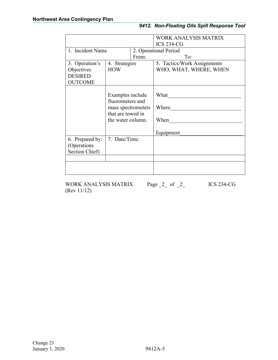|                                                                  |                                                                                                      |       | <b>WORK ANALYSIS MATRIX</b>                           |  |  |
|------------------------------------------------------------------|------------------------------------------------------------------------------------------------------|-------|-------------------------------------------------------|--|--|
|                                                                  |                                                                                                      |       | <b>ICS 234-CG</b>                                     |  |  |
| 1. Incident Name                                                 |                                                                                                      |       | 2. Operational Period                                 |  |  |
|                                                                  |                                                                                                      | From: | To:                                                   |  |  |
| 3. Operation's<br>Objectives<br><b>DESIRED</b><br><b>OUTCOME</b> | 4. Strategies<br><b>HOW</b>                                                                          |       | 5. Tactics/Work Assignments<br>WHO, WHAT, WHERE, WHEN |  |  |
|                                                                  | Examples include<br>fluorometers and<br>mass spectrometers<br>that are towed in<br>the water column. |       | What<br>Where<br>When<br>Equipment                    |  |  |
| 6. Prepared by:<br>(Operations<br>Section Chief)                 | 7. Date/Time:                                                                                        |       |                                                       |  |  |
|                                                                  |                                                                                                      |       |                                                       |  |  |

WORK ANALYSIS MATRIX Page 2 of 2 ICS 234-CG (Rev 11/12)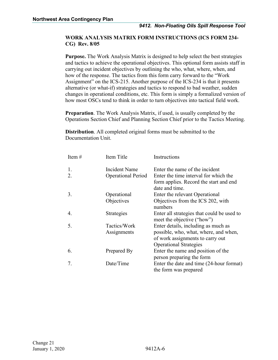#### **WORK ANALYSIS MATRIX FORM INSTRUCTIONS (ICS FORM 234- CG) Rev. 8/05**

**Purpose.** The Work Analysis Matrix is designed to help select the best strategies and tactics to achieve the operational objectives. This optional form assists staff in carrying out incident objectives by outlining the who, what, where, when, and how of the response. The tactics from this form carry forward to the "Work Assignment" on the ICS-215. Another purpose of the ICS-234 is that it presents alternative (or what-if) strategies and tactics to respond to bad weather, sudden changes in operational conditions, etc. This form is simply a formalized version of how most OSCs tend to think in order to turn objectives into tactical field work.

**Preparation**. The Work Analysis Matrix, if used, is usually completed by the Operations Section Chief and Planning Section Chief prior to the Tactics Meeting.

**Distribution**. All completed original forms must be submitted to the Documentation Unit.

| Item $#$ | Item Title                | Instructions                                                             |
|----------|---------------------------|--------------------------------------------------------------------------|
| 1.       | <b>Incident Name</b>      | Enter the name of the incident                                           |
| 2.       | <b>Operational Period</b> | Enter the time interval for which the                                    |
|          |                           | form applies. Record the start and end<br>date and time.                 |
| 3.       | Operational               | Enter the relevant Operational                                           |
|          | Objectives                | Objectives from the ICS 202, with<br>numbers                             |
| 4.       | Strategies                | Enter all strategies that could be used to<br>meet the objective ("how") |
| 5.       | Tactics/Work              | Enter details, including as much as                                      |
|          | Assignments               | possible, who, what, where, and when,                                    |
|          |                           | of work assignments to carry out                                         |
|          |                           | <b>Operational Strategies</b>                                            |
| 6.       | Prepared By               | Enter the name and position of the                                       |
|          |                           | person preparing the form                                                |
| 7.       | Date/Time                 | Enter the date and time (24-hour format)                                 |
|          |                           | the form was prepared                                                    |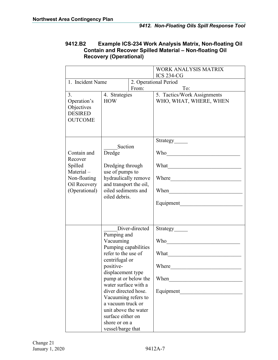|                                                                                                 |                                                                                                                                                                                                                                                                                                                                    |                | <b>WORK ANALYSIS MATRIX</b><br><b>ICS 234-CG</b>                                                                                                                                                                                                                                |  |
|-------------------------------------------------------------------------------------------------|------------------------------------------------------------------------------------------------------------------------------------------------------------------------------------------------------------------------------------------------------------------------------------------------------------------------------------|----------------|---------------------------------------------------------------------------------------------------------------------------------------------------------------------------------------------------------------------------------------------------------------------------------|--|
| 1. Incident Name                                                                                |                                                                                                                                                                                                                                                                                                                                    |                | 2. Operational Period                                                                                                                                                                                                                                                           |  |
| 3.<br>Operation's<br>Objectives<br><b>DESIRED</b><br><b>OUTCOME</b>                             | From:<br>4. Strategies<br><b>HOW</b>                                                                                                                                                                                                                                                                                               |                | To:<br>5. Tactics/Work Assignments<br>WHO, WHAT, WHERE, WHEN                                                                                                                                                                                                                    |  |
| Contain and<br>Recover<br>Spilled<br>Material-<br>Non-floating<br>Oil Recovery<br>(Operational) | Suction<br>Dredge<br>Dredging through<br>use of pumps to<br>hydraulically remove<br>and transport the oil,<br>oiled sediments and<br>oiled debris.                                                                                                                                                                                 |                | Strategy<br>What<br>When<br><u> 1980 - Johann Barbara, martin amerikan basal da</u><br>Equipment                                                                                                                                                                                |  |
|                                                                                                 | Pumping and<br>Vacuuming<br>Pumping capabilities<br>refer to the use of<br>centrifugal or<br>positive-<br>displacement type<br>pump at or below the<br>water surface with a<br>diver directed hose.<br>Vacuuming refers to<br>a vacuum truck or<br>unit above the water<br>surface either on<br>shore or on a<br>vessel/barge that | Diver-directed | Strategy<br>Who we have the world with the world with the world with the world with the world with the world with the world with the world with the world with the world with the world with the world with the world with the world with<br>What<br>Where<br>When<br>Equipment |  |

#### <span id="page-28-0"></span>**9412.B2 Example ICS-234 Work Analysis Matrix, Non-floating Oil Contain and Recover Spilled Material – Non-floating Oil Recovery (Operational)**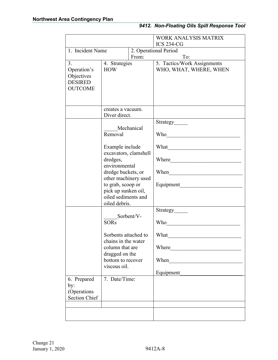|                                                                     |                                                                                                                                                                                                                                  |  | <b>WORK ANALYSIS MATRIX</b><br><b>ICS 234-CG</b>                                                                                                                                                                                     |  |
|---------------------------------------------------------------------|----------------------------------------------------------------------------------------------------------------------------------------------------------------------------------------------------------------------------------|--|--------------------------------------------------------------------------------------------------------------------------------------------------------------------------------------------------------------------------------------|--|
| 1. Incident Name                                                    |                                                                                                                                                                                                                                  |  | 2. Operational Period                                                                                                                                                                                                                |  |
|                                                                     | From:                                                                                                                                                                                                                            |  | To:                                                                                                                                                                                                                                  |  |
| 3.<br>Operation's<br>Objectives<br><b>DESIRED</b><br><b>OUTCOME</b> | 4. Strategies<br><b>HOW</b>                                                                                                                                                                                                      |  | 5. Tactics/Work Assignments<br>WHO, WHAT, WHERE, WHEN                                                                                                                                                                                |  |
|                                                                     | creates a vacuum.<br>Diver direct.                                                                                                                                                                                               |  |                                                                                                                                                                                                                                      |  |
|                                                                     | Mechanical<br>Removal<br>Example include<br>excavators, clamshell<br>dredges,<br>environmental<br>dredge buckets, or<br>other machinery used<br>to grab, scoop or<br>pick up sunken oil,<br>oiled sediments and<br>oiled debris. |  | Strategy                                                                                                                                                                                                                             |  |
|                                                                     |                                                                                                                                                                                                                                  |  | Who                                                                                                                                                                                                                                  |  |
|                                                                     |                                                                                                                                                                                                                                  |  |                                                                                                                                                                                                                                      |  |
|                                                                     |                                                                                                                                                                                                                                  |  | Where <u>we have a series of the series of the series of the series of the series of the series of the series of the series of the series of the series of the series of the series of the series of the series of the series of</u> |  |
|                                                                     |                                                                                                                                                                                                                                  |  | When we have the world of the world of the world of the world of the world of the world of the world of the world of the world of the world of the world of the world of the world of the world of the world of the world of th      |  |
|                                                                     |                                                                                                                                                                                                                                  |  |                                                                                                                                                                                                                                      |  |
|                                                                     | Sorbent/V-                                                                                                                                                                                                                       |  | Strategy                                                                                                                                                                                                                             |  |
|                                                                     | <b>SORs</b>                                                                                                                                                                                                                      |  | Who                                                                                                                                                                                                                                  |  |
|                                                                     | Sorbents attached to<br>chains in the water<br>column that are<br>dragged on the<br>bottom to recover<br>viscous oil.                                                                                                            |  | What                                                                                                                                                                                                                                 |  |
|                                                                     |                                                                                                                                                                                                                                  |  | Where <b>the contract of the contract of the contract of the contract of the contract of the contract of the contract of the contract of the contract of the contract of the contract of the contract of the contract of the con</b> |  |
|                                                                     |                                                                                                                                                                                                                                  |  | When                                                                                                                                                                                                                                 |  |
|                                                                     |                                                                                                                                                                                                                                  |  | Equipment                                                                                                                                                                                                                            |  |
| 6. Prepared<br>by:<br>(Operations                                   | 7. Date/Time:                                                                                                                                                                                                                    |  |                                                                                                                                                                                                                                      |  |
| <b>Section Chief</b>                                                |                                                                                                                                                                                                                                  |  |                                                                                                                                                                                                                                      |  |
|                                                                     |                                                                                                                                                                                                                                  |  |                                                                                                                                                                                                                                      |  |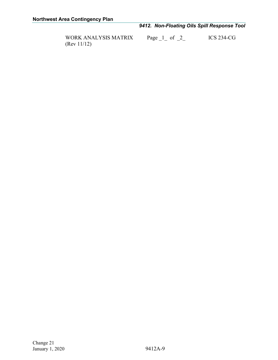### *9412. Non-Floating Oils Spill Response Tool*

(Rev 11/12)

WORK ANALYSIS MATRIX Page  $\frac{1}{2}$  of  $\frac{2}{2}$  ICS 234-CG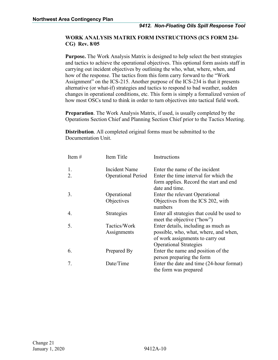#### **WORK ANALYSIS MATRIX FORM INSTRUCTIONS (ICS FORM 234- CG) Rev. 8/05**

**Purpose.** The Work Analysis Matrix is designed to help select the best strategies and tactics to achieve the operational objectives. This optional form assists staff in carrying out incident objectives by outlining the who, what, where, when, and how of the response. The tactics from this form carry forward to the "Work Assignment" on the ICS-215. Another purpose of the ICS-234 is that it presents alternative (or what-if) strategies and tactics to respond to bad weather, sudden changes in operational conditions, etc. This form is simply a formalized version of how most OSCs tend to think in order to turn objectives into tactical field work.

**Preparation**. The Work Analysis Matrix, if used, is usually completed by the Operations Section Chief and Planning Section Chief prior to the Tactics Meeting.

**Distribution**. All completed original forms must be submitted to the Documentation Unit.

| Item $#$ | Item Title                | Instructions                                                             |
|----------|---------------------------|--------------------------------------------------------------------------|
| 1.       | <b>Incident Name</b>      | Enter the name of the incident                                           |
| 2.       | <b>Operational Period</b> | Enter the time interval for which the                                    |
|          |                           | form applies. Record the start and end<br>date and time.                 |
| 3.       | Operational               | Enter the relevant Operational                                           |
|          | Objectives                | Objectives from the ICS 202, with<br>numbers                             |
| 4.       | Strategies                | Enter all strategies that could be used to<br>meet the objective ("how") |
| 5.       | Tactics/Work              | Enter details, including as much as                                      |
|          | Assignments               | possible, who, what, where, and when,                                    |
|          |                           | of work assignments to carry out                                         |
|          |                           | <b>Operational Strategies</b>                                            |
| 6.       | Prepared By               | Enter the name and position of the                                       |
|          |                           | person preparing the form                                                |
| 7.       | Date/Time                 | Enter the date and time (24-hour format)                                 |
|          |                           | the form was prepared                                                    |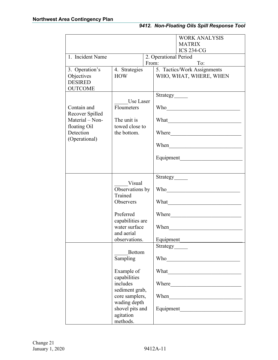|                                    |                                   |       | <b>WORK ANALYSIS</b><br><b>MATRIX</b>                                                                                                                                                                                                |  |  |
|------------------------------------|-----------------------------------|-------|--------------------------------------------------------------------------------------------------------------------------------------------------------------------------------------------------------------------------------------|--|--|
|                                    |                                   |       | <b>ICS 234-CG</b>                                                                                                                                                                                                                    |  |  |
| 1. Incident Name                   |                                   |       | 2. Operational Period                                                                                                                                                                                                                |  |  |
|                                    |                                   | From: | To:                                                                                                                                                                                                                                  |  |  |
| 3. Operation's                     | 4. Strategies                     |       | 5. Tactics/Work Assignments                                                                                                                                                                                                          |  |  |
| Objectives                         | <b>HOW</b>                        |       | WHO, WHAT, WHERE, WHEN                                                                                                                                                                                                               |  |  |
| <b>DESIRED</b>                     |                                   |       |                                                                                                                                                                                                                                      |  |  |
| <b>OUTCOME</b>                     |                                   |       |                                                                                                                                                                                                                                      |  |  |
|                                    |                                   |       | Strategy______                                                                                                                                                                                                                       |  |  |
|                                    | Use Laser                         |       |                                                                                                                                                                                                                                      |  |  |
| Contain and                        | Floumeters                        |       |                                                                                                                                                                                                                                      |  |  |
| Recover Spilled<br>Material - Non- |                                   |       |                                                                                                                                                                                                                                      |  |  |
|                                    | The unit is<br>towed close to     |       |                                                                                                                                                                                                                                      |  |  |
| floating Oil<br>Detection          | the bottom.                       |       |                                                                                                                                                                                                                                      |  |  |
| (Operational)                      |                                   |       | Where Manual Communication and the Communication of the Communication of the Communication of the Communication of the Communication of the Communication of the Communication of the Communication of the Communication of th       |  |  |
|                                    |                                   |       | When                                                                                                                                                                                                                                 |  |  |
|                                    |                                   |       | <u> 1989 - Johann Barn, mars ar breithinn ar chwaraeth a bhaile ann an t-</u>                                                                                                                                                        |  |  |
|                                    |                                   |       |                                                                                                                                                                                                                                      |  |  |
|                                    |                                   |       |                                                                                                                                                                                                                                      |  |  |
|                                    |                                   |       |                                                                                                                                                                                                                                      |  |  |
|                                    |                                   |       | Strategy                                                                                                                                                                                                                             |  |  |
|                                    | Visual                            |       |                                                                                                                                                                                                                                      |  |  |
|                                    | Observations by                   |       |                                                                                                                                                                                                                                      |  |  |
|                                    | Trained<br>Observers              |       |                                                                                                                                                                                                                                      |  |  |
|                                    |                                   |       |                                                                                                                                                                                                                                      |  |  |
|                                    |                                   |       |                                                                                                                                                                                                                                      |  |  |
|                                    | Preferred                         |       | Where <b>the contract of the contract of the contract of the contract of the contract of the contract of the contract of the contract of the contract of the contract of the contract of the contract of the contract of the con</b> |  |  |
|                                    | capabilities are<br>water surface |       |                                                                                                                                                                                                                                      |  |  |
|                                    |                                   |       | When                                                                                                                                                                                                                                 |  |  |
|                                    | and aerial                        |       |                                                                                                                                                                                                                                      |  |  |
| observations.                      |                                   |       | Equipment                                                                                                                                                                                                                            |  |  |
|                                    |                                   |       | Strategy                                                                                                                                                                                                                             |  |  |
|                                    | <b>Bottom</b>                     |       |                                                                                                                                                                                                                                      |  |  |
|                                    | Sampling                          |       |                                                                                                                                                                                                                                      |  |  |
|                                    |                                   |       |                                                                                                                                                                                                                                      |  |  |
|                                    | Example of                        |       |                                                                                                                                                                                                                                      |  |  |
|                                    | capabilities                      |       |                                                                                                                                                                                                                                      |  |  |
|                                    | includes                          |       |                                                                                                                                                                                                                                      |  |  |
|                                    | sediment grab,                    |       |                                                                                                                                                                                                                                      |  |  |
|                                    | core samplers,                    |       | When <u>the contract of the contract of the contract of the contract of the contract of the contract of the contract of the contract of the contract of the contract of the contract of the contract of the contract of the cont</u> |  |  |
|                                    | wading depth                      |       |                                                                                                                                                                                                                                      |  |  |
|                                    | shovel pits and                   |       |                                                                                                                                                                                                                                      |  |  |
|                                    | agitation                         |       |                                                                                                                                                                                                                                      |  |  |
|                                    | methods.                          |       |                                                                                                                                                                                                                                      |  |  |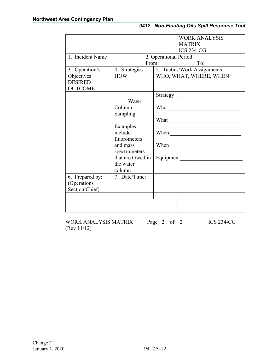|                                |                          |       |                       | <b>WORK ANALYSIS</b><br><b>MATRIX</b><br><b>ICS 234-CG</b> |
|--------------------------------|--------------------------|-------|-----------------------|------------------------------------------------------------|
| 1. Incident Name               |                          |       | 2. Operational Period |                                                            |
|                                |                          | From: |                       | To:                                                        |
| 3. Operation's                 | 4. Strategies            |       |                       | 5. Tactics/Work Assignments                                |
| Objectives                     | <b>HOW</b>               |       |                       | WHO, WHAT, WHERE, WHEN                                     |
| <b>DESIRED</b>                 |                          |       |                       |                                                            |
| <b>OUTCOME</b>                 |                          |       |                       |                                                            |
|                                |                          |       | Strategy              |                                                            |
|                                | Water<br>Column          |       |                       |                                                            |
|                                | Sampling                 |       |                       |                                                            |
|                                |                          |       |                       |                                                            |
|                                | Examples                 |       |                       |                                                            |
|                                | include                  |       |                       | Where                                                      |
|                                | fluorometers             |       |                       |                                                            |
|                                | and mass                 |       | When                  |                                                            |
|                                | spectrometers            |       |                       |                                                            |
|                                | that are towed in        |       |                       | Equipment                                                  |
|                                | the water                |       |                       |                                                            |
|                                | column.<br>7. Date/Time: |       |                       |                                                            |
| 6. Prepared by:<br>(Operations |                          |       |                       |                                                            |
| Section Chief)                 |                          |       |                       |                                                            |
|                                |                          |       |                       |                                                            |
|                                |                          |       |                       |                                                            |
|                                |                          |       |                       |                                                            |

WORK ANALYSIS MATRIX Page 2 of 2 ICS 234-CG (Rev 11/12)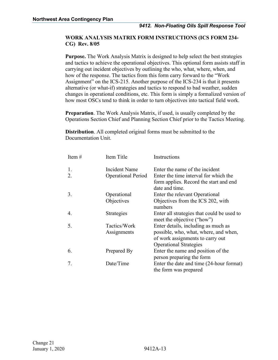#### **WORK ANALYSIS MATRIX FORM INSTRUCTIONS (ICS FORM 234- CG) Rev. 8/05**

**Purpose.** The Work Analysis Matrix is designed to help select the best strategies and tactics to achieve the operational objectives. This optional form assists staff in carrying out incident objectives by outlining the who, what, where, when, and how of the response. The tactics from this form carry forward to the "Work Assignment" on the ICS-215. Another purpose of the ICS-234 is that it presents alternative (or what-if) strategies and tactics to respond to bad weather, sudden changes in operational conditions, etc. This form is simply a formalized version of how most OSCs tend to think in order to turn objectives into tactical field work.

**Preparation**. The Work Analysis Matrix, if used, is usually completed by the Operations Section Chief and Planning Section Chief prior to the Tactics Meeting.

**Distribution**. All completed original forms must be submitted to the Documentation Unit.

| Item $#$ | Item Title                | Instructions                                                             |
|----------|---------------------------|--------------------------------------------------------------------------|
| 1.       | Incident Name             | Enter the name of the incident                                           |
| 2.       | <b>Operational Period</b> | Enter the time interval for which the                                    |
|          |                           | form applies. Record the start and end<br>date and time.                 |
| 3.       | Operational               | Enter the relevant Operational                                           |
|          | Objectives                | Objectives from the ICS 202, with<br>numbers                             |
| 4.       | Strategies                | Enter all strategies that could be used to<br>meet the objective ("how") |
| 5.       | Tactics/Work              | Enter details, including as much as                                      |
|          | Assignments               | possible, who, what, where, and when,                                    |
|          |                           | of work assignments to carry out                                         |
|          |                           | <b>Operational Strategies</b>                                            |
| 6.       | Prepared By               | Enter the name and position of the<br>person preparing the form          |
| 7.       | Date/Time                 | Enter the date and time (24-hour format)                                 |
|          |                           | the form was prepared                                                    |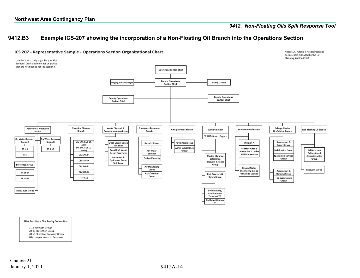#### *9412. Non-Floating Oils Spill Response Tool*

Note: SCAT Group is not represented

#### **9412.B3 Example ICS-207 showing the incorporation of a Non-Floating Oil Branch into the Operations Section**



<span id="page-35-0"></span>

#### **PNW Task Force Numbering Convention**

1-19 Recovery Group 20-39 Protection Group 40-59 Shoreline Recovery Group 60+ Use per Needs of Response